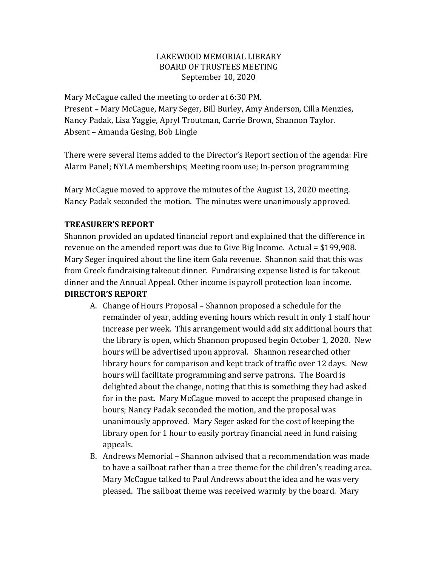## LAKEWOOD MEMORIAL LIBRARY BOARD OF TRUSTEES MEETING September 10, 2020

Mary McCague called the meeting to order at 6:30 PM. Present – Mary McCague, Mary Seger, Bill Burley, Amy Anderson, Cilla Menzies, Nancy Padak, Lisa Yaggie, Apryl Troutman, Carrie Brown, Shannon Taylor. Absent – Amanda Gesing, Bob Lingle

There were several items added to the Director's Report section of the agenda: Fire Alarm Panel; NYLA memberships; Meeting room use; In-person programming

Mary McCague moved to approve the minutes of the August 13, 2020 meeting. Nancy Padak seconded the motion. The minutes were unanimously approved.

## **TREASURER'S REPORT**

Shannon provided an updated financial report and explained that the difference in revenue on the amended report was due to Give Big Income. Actual = \$199,908. Mary Seger inquired about the line item Gala revenue. Shannon said that this was from Greek fundraising takeout dinner. Fundraising expense listed is for takeout dinner and the Annual Appeal. Other income is payroll protection loan income. **DIRECTOR'S REPORT**

- A. Change of Hours Proposal Shannon proposed a schedule for the remainder of year, adding evening hours which result in only 1 staff hour increase per week. This arrangement would add six additional hours that the library is open, which Shannon proposed begin October 1, 2020. New hours will be advertised upon approval. Shannon researched other library hours for comparison and kept track of traffic over 12 days. New hours will facilitate programming and serve patrons. The Board is delighted about the change, noting that this is something they had asked for in the past. Mary McCague moved to accept the proposed change in hours; Nancy Padak seconded the motion, and the proposal was unanimously approved. Mary Seger asked for the cost of keeping the library open for 1 hour to easily portray financial need in fund raising appeals.
- B. Andrews Memorial Shannon advised that a recommendation was made to have a sailboat rather than a tree theme for the children's reading area. Mary McCague talked to Paul Andrews about the idea and he was very pleased. The sailboat theme was received warmly by the board. Mary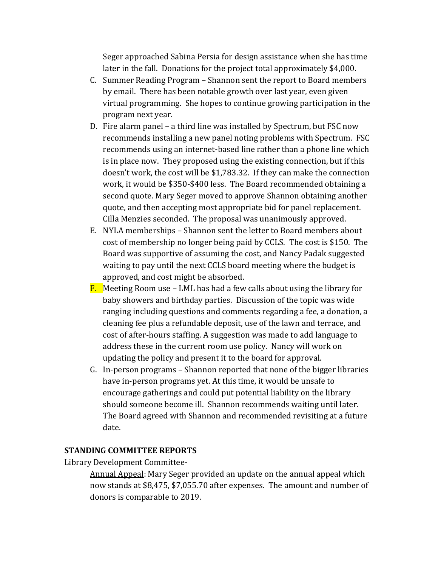Seger approached Sabina Persia for design assistance when she has time later in the fall. Donations for the project total approximately \$4,000.

- C. Summer Reading Program Shannon sent the report to Board members by email. There has been notable growth over last year, even given virtual programming. She hopes to continue growing participation in the program next year.
- D. Fire alarm panel a third line was installed by Spectrum, but FSC now recommends installing a new panel noting problems with Spectrum. FSC recommends using an internet-based line rather than a phone line which is in place now. They proposed using the existing connection, but if this doesn't work, the cost will be \$1,783.32. If they can make the connection work, it would be \$350-\$400 less. The Board recommended obtaining a second quote. Mary Seger moved to approve Shannon obtaining another quote, and then accepting most appropriate bid for panel replacement. Cilla Menzies seconded. The proposal was unanimously approved.
- E. NYLA memberships Shannon sent the letter to Board members about cost of membership no longer being paid by CCLS. The cost is \$150. The Board was supportive of assuming the cost, and Nancy Padak suggested waiting to pay until the next CCLS board meeting where the budget is approved, and cost might be absorbed.
- **F.** Meeting Room use LML has had a few calls about using the library for baby showers and birthday parties. Discussion of the topic was wide ranging including questions and comments regarding a fee, a donation, a cleaning fee plus a refundable deposit, use of the lawn and terrace, and cost of after-hours staffing. A suggestion was made to add language to address these in the current room use policy. Nancy will work on updating the policy and present it to the board for approval.
- G. In-person programs Shannon reported that none of the bigger libraries have in-person programs yet. At this time, it would be unsafe to encourage gatherings and could put potential liability on the library should someone become ill. Shannon recommends waiting until later. The Board agreed with Shannon and recommended revisiting at a future date.

## **STANDING COMMITTEE REPORTS**

Library Development Committee-

Annual Appeal: Mary Seger provided an update on the annual appeal which now stands at \$8,475, \$7,055.70 after expenses. The amount and number of donors is comparable to 2019.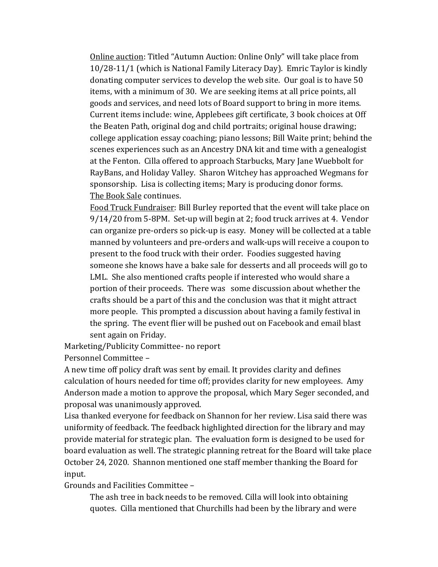Online auction: Titled "Autumn Auction: Online Only" will take place from 10/28-11/1 (which is National Family Literacy Day). Emric Taylor is kindly donating computer services to develop the web site. Our goal is to have 50 items, with a minimum of 30. We are seeking items at all price points, all goods and services, and need lots of Board support to bring in more items. Current items include: wine, Applebees gift certificate, 3 book choices at Off the Beaten Path, original dog and child portraits; original house drawing; college application essay coaching; piano lessons; Bill Waite print; behind the scenes experiences such as an Ancestry DNA kit and time with a genealogist at the Fenton. Cilla offered to approach Starbucks, Mary Jane Wuebbolt for RayBans, and Holiday Valley. Sharon Witchey has approached Wegmans for sponsorship. Lisa is collecting items; Mary is producing donor forms. The Book Sale continues.

Food Truck Fundraiser: Bill Burley reported that the event will take place on 9/14/20 from 5-8PM. Set-up will begin at 2; food truck arrives at 4. Vendor can organize pre-orders so pick-up is easy. Money will be collected at a table manned by volunteers and pre-orders and walk-ups will receive a coupon to present to the food truck with their order. Foodies suggested having someone she knows have a bake sale for desserts and all proceeds will go to LML. She also mentioned crafts people if interested who would share a portion of their proceeds. There was some discussion about whether the crafts should be a part of this and the conclusion was that it might attract more people. This prompted a discussion about having a family festival in the spring. The event flier will be pushed out on Facebook and email blast sent again on Friday.

Marketing/Publicity Committee- no report

Personnel Committee –

A new time off policy draft was sent by email. It provides clarity and defines calculation of hours needed for time off; provides clarity for new employees. Amy Anderson made a motion to approve the proposal, which Mary Seger seconded, and proposal was unanimously approved.

Lisa thanked everyone for feedback on Shannon for her review. Lisa said there was uniformity of feedback. The feedback highlighted direction for the library and may provide material for strategic plan. The evaluation form is designed to be used for board evaluation as well. The strategic planning retreat for the Board will take place October 24, 2020. Shannon mentioned one staff member thanking the Board for input.

Grounds and Facilities Committee –

The ash tree in back needs to be removed. Cilla will look into obtaining quotes. Cilla mentioned that Churchills had been by the library and were